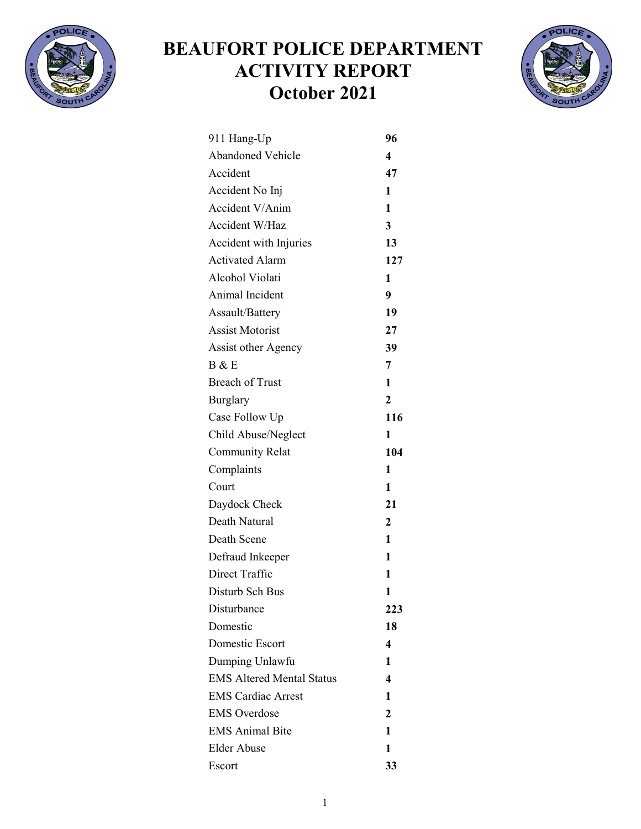

## BEAUFORT POLICE DEPARTMENT ACTIVITY REPORT October 2021



| 911 Hang-Up                      | 96             |
|----------------------------------|----------------|
| <b>Abandoned Vehicle</b>         | 4              |
| Accident                         | 47             |
| Accident No Inj                  | 1              |
| Accident V/Anim                  | 1              |
| Accident W/Haz                   | $\overline{3}$ |
| Accident with Injuries           | 13             |
| <b>Activated Alarm</b>           | 127            |
| Alcohol Violati                  | 1              |
| Animal Incident                  | 9              |
| Assault/Battery                  | 19             |
| <b>Assist Motorist</b>           | 27             |
| <b>Assist other Agency</b>       | 39             |
| B & E                            | $\overline{7}$ |
| <b>Breach of Trust</b>           | 1              |
| Burglary                         | $\mathbf{2}$   |
| Case Follow Up                   | 116            |
| Child Abuse/Neglect              | 1              |
| <b>Community Relat</b>           | 104            |
| Complaints                       | 1              |
| Court                            | 1              |
| Daydock Check                    | 21             |
| Death Natural                    | $\overline{2}$ |
| Death Scene                      | 1              |
| Defraud Inkeeper                 | 1              |
| Direct Traffic                   | 1              |
| Disturb Sch Bus                  | 1              |
| Disturbance                      | 223            |
| Domestic                         | 18             |
| Domestic Escort                  | 4              |
| Dumping Unlawfu                  | 1              |
| <b>EMS Altered Mental Status</b> | 4              |
| <b>EMS Cardiac Arrest</b>        | 1              |
| <b>EMS</b> Overdose              | 2              |
| <b>EMS Animal Bite</b>           | 1              |
| <b>Elder Abuse</b>               | 1              |
| Escort                           | 33             |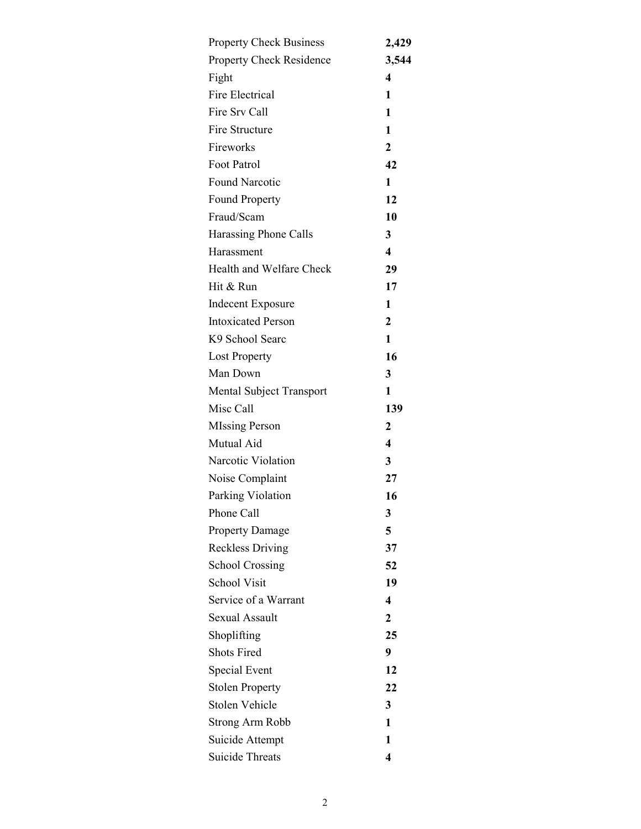| <b>Property Check Business</b>  | 2,429                   |
|---------------------------------|-------------------------|
| <b>Property Check Residence</b> | 3,544                   |
| Fight                           | 4                       |
| <b>Fire Electrical</b>          | 1                       |
| Fire Srv Call                   | 1                       |
| Fire Structure                  | 1                       |
| Fireworks                       | $\overline{2}$          |
| Foot Patrol                     | 42                      |
| <b>Found Narcotic</b>           | 1                       |
| <b>Found Property</b>           | 12                      |
| Fraud/Scam                      | 10                      |
| Harassing Phone Calls           | 3                       |
| Harassment                      | $\overline{\mathbf{4}}$ |
| Health and Welfare Check        | 29                      |
| Hit & Run                       | 17                      |
| <b>Indecent Exposure</b>        | 1                       |
| <b>Intoxicated Person</b>       | $\overline{2}$          |
| K9 School Searc                 | 1                       |
| <b>Lost Property</b>            | 16                      |
| Man Down                        | 3                       |
| Mental Subject Transport        | 1                       |
| Misc Call                       | 139                     |
| <b>MIssing Person</b>           | $\overline{2}$          |
| Mutual Aid                      | $\overline{\mathbf{4}}$ |
| Narcotic Violation              | 3                       |
| Noise Complaint                 | 27                      |
| Parking Violation               | 16                      |
| Phone Call                      | 3                       |
| <b>Property Damage</b>          | 5                       |
| <b>Reckless Driving</b>         | 37                      |
| <b>School Crossing</b>          | 52                      |
| <b>School Visit</b>             | 19                      |
| Service of a Warrant            | $\overline{\mathbf{4}}$ |
| <b>Sexual Assault</b>           | $\overline{2}$          |
| Shoplifting                     | 25                      |
| <b>Shots Fired</b>              | 9                       |
| Special Event                   | 12                      |
| <b>Stolen Property</b>          | 22                      |
| <b>Stolen Vehicle</b>           | 3                       |
| <b>Strong Arm Robb</b>          | 1                       |
| Suicide Attempt                 | 1                       |
| <b>Suicide Threats</b>          | 4                       |